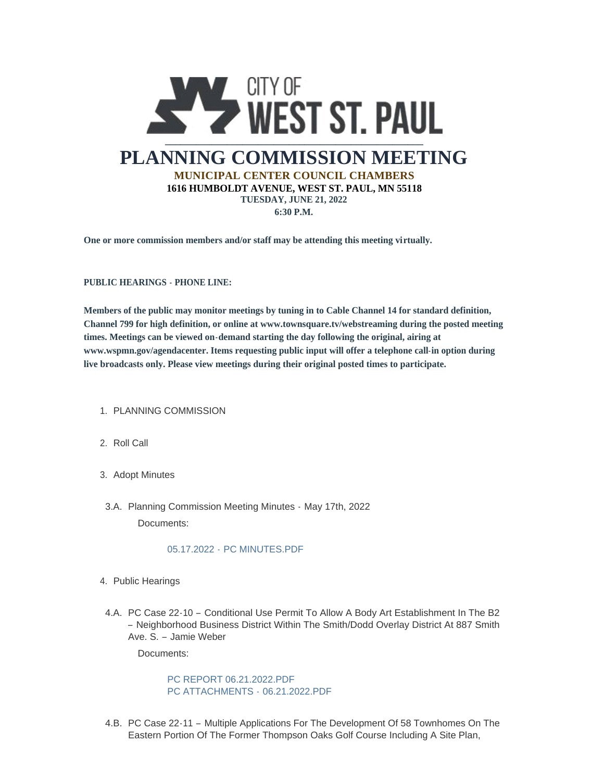

**One or more commission members and/or staff may be attending this meeting virtually.**

**PUBLIC HEARINGS - PHONE LINE:**

**Members of the public may monitor meetings by tuning in to Cable Channel 14 for standard definition, Channel 799 for high definition, or online at www.townsquare.tv/webstreaming during the posted meeting times. Meetings can be viewed on-demand starting the day following the original, airing at www.wspmn.gov/agendacenter. Items requesting public input will offer a telephone call-in option during live broadcasts only. Please view meetings during their original posted times to participate.**

- 1. PLANNING COMMISSION
- 2. Roll Call
- 3. Adopt Minutes
- 3.A. Planning Commission Meeting Minutes May 17th, 2022 Documents:

## 05.17.2022 - [PC MINUTES.PDF](https://www.wspmn.gov/AgendaCenter/ViewFile/Item/13027?fileID=19975)

- 4. Public Hearings
- 4.A. PC Case 22-10 Conditional Use Permit To Allow A Body Art Establishment In The B2 – Neighborhood Business District Within The Smith/Dodd Overlay District At 887 Smith Ave. S. – Jamie Weber

Documents:

[PC REPORT 06.21.2022.PDF](https://www.wspmn.gov/AgendaCenter/ViewFile/Item/13112?fileID=20015) [PC ATTACHMENTS -](https://www.wspmn.gov/AgendaCenter/ViewFile/Item/13112?fileID=20014) 06.21.2022.PDF

4.B. PC Case 22-11 - Multiple Applications For The Development Of 58 Townhomes On The Eastern Portion Of The Former Thompson Oaks Golf Course Including A Site Plan,